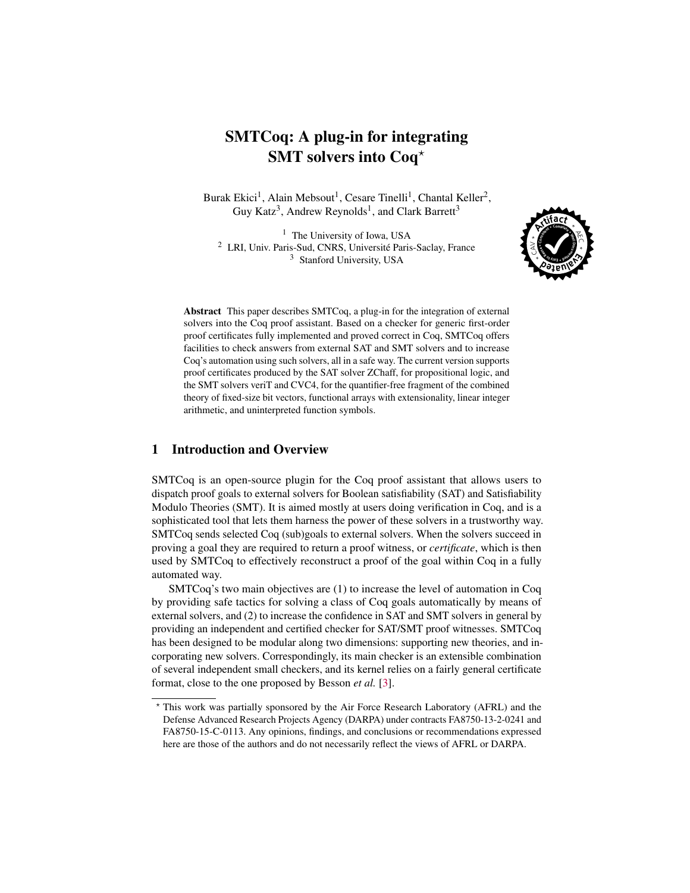# SMTCoq: A plug-in for integrating SMT solvers into Coq<sup>\*</sup>

Burak Ekici<sup>1</sup>, Alain Mebsout<sup>1</sup>, Cesare Tinelli<sup>1</sup>, Chantal Keller<sup>2</sup>, Guy Katz<sup>3</sup>, Andrew Reynolds<sup>1</sup>, and Clark Barrett<sup>3</sup>

<sup>1</sup> The University of Iowa, USA <sup>2</sup> LRI, Univ. Paris-Sud, CNRS, Université Paris-Saclay, France <sup>3</sup> Stanford University, USA



Abstract This paper describes SMTCoq, a plug-in for the integration of external solvers into the Coq proof assistant. Based on a checker for generic first-order proof certificates fully implemented and proved correct in Coq, SMTCoq offers facilities to check answers from external SAT and SMT solvers and to increase Coq's automation using such solvers, all in a safe way. The current version supports proof certificates produced by the SAT solver ZChaff, for propositional logic, and the SMT solvers veriT and CVC4, for the quantifier-free fragment of the combined theory of fixed-size bit vectors, functional arrays with extensionality, linear integer arithmetic, and uninterpreted function symbols.

# 1 Introduction and Overview

SMTCoq is an open-source plugin for the Coq proof assistant that allows users to dispatch proof goals to external solvers for Boolean satisfiability (SAT) and Satisfiability Modulo Theories (SMT). It is aimed mostly at users doing verification in Coq, and is a sophisticated tool that lets them harness the power of these solvers in a trustworthy way. SMTCoq sends selected Coq (sub)goals to external solvers. When the solvers succeed in proving a goal they are required to return a proof witness, or *certificate*, which is then used by SMTCoq to effectively reconstruct a proof of the goal within Coq in a fully automated way.

SMTCoq's two main objectives are (1) to increase the level of automation in Coq by providing safe tactics for solving a class of Coq goals automatically by means of external solvers, and (2) to increase the confidence in SAT and SMT solvers in general by providing an independent and certified checker for SAT/SMT proof witnesses. SMTCoq has been designed to be modular along two dimensions: supporting new theories, and incorporating new solvers. Correspondingly, its main checker is an extensible combination of several independent small checkers, and its kernel relies on a fairly general certificate format, close to the one proposed by Besson *et al.* [\[3\]](#page-6-0).

<sup>?</sup> This work was partially sponsored by the Air Force Research Laboratory (AFRL) and the Defense Advanced Research Projects Agency (DARPA) under contracts FA8750-13-2-0241 and FA8750-15-C-0113. Any opinions, findings, and conclusions or recommendations expressed here are those of the authors and do not necessarily reflect the views of AFRL or DARPA.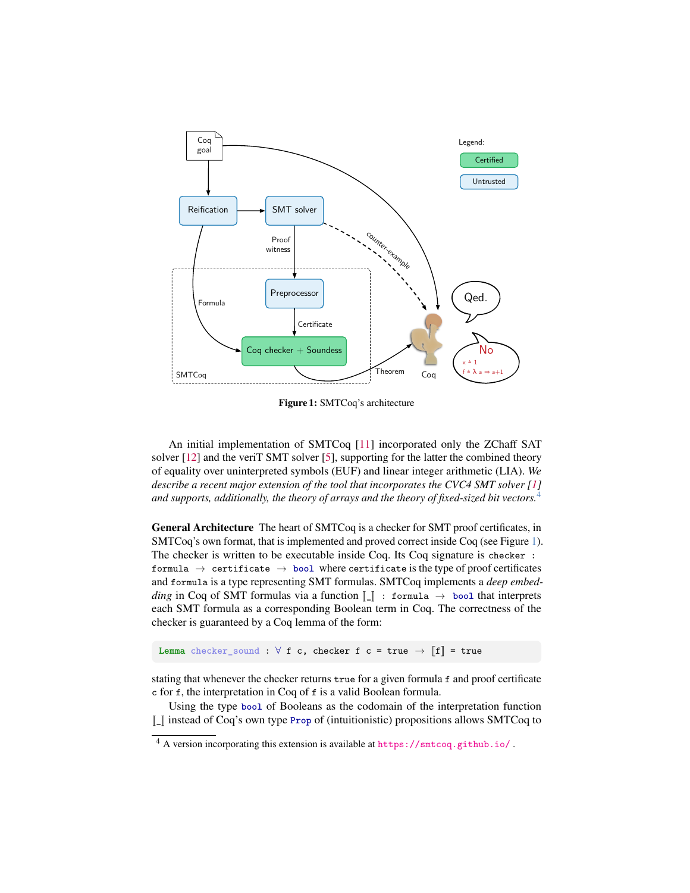<span id="page-1-1"></span>

Figure 1: SMTCoq's architecture

An initial implementation of SMTCoq [\[11\]](#page-6-1) incorporated only the ZChaff SAT solver [\[12\]](#page-6-2) and the veriT SMT solver [\[5\]](#page-6-3), supporting for the latter the combined theory of equality over uninterpreted symbols (EUF) and linear integer arithmetic (LIA). *We describe a recent major extension of the tool that incorporates the CVC4 SMT solver* [\[1\]](#page-6-4) *and supports, additionally, the theory of arrays and the theory of fixed-sized bit vectors.*[4](#page-1-0)

General Architecture The heart of SMTCoq is a checker for SMT proof certificates, in SMTCoq's own format, that is implemented and proved correct inside Coq (see Figure [1\)](#page-1-1). The checker is written to be executable inside Coq. Its Coq signature is checker : formula  $\rightarrow$  certificate  $\rightarrow$  bool where certificate is the type of proof certificates and formula is a type representing SMT formulas. SMTCoq implements a *deep embedding* in Coq of SMT formulas via a function  $\llbracket \cdot \rrbracket$  : formula  $\rightarrow$  bool that interprets each SMT formula as a corresponding Boolean term in Coq. The correctness of the checker is guaranteed by a Coq lemma of the form:

**Lemma** checker\_sound :  $\forall$  f c, checker f c = true  $\rightarrow$  [f] = true

stating that whenever the checker returns true for a given formula f and proof certificate c for f, the interpretation in Coq of f is a valid Boolean formula.

Using the type **bool** of Booleans as the codomain of the interpretation function  $\llbracket \_ \ \rbrack$  instead of Coq's own type Prop of (intuitionistic) propositions allows SMTCoq to

<span id="page-1-0"></span> $^4$  A version incorporating this extension is available at  $\mathtt{https://smtcoq.github.io/}$  $\mathtt{https://smtcoq.github.io/}$  $\mathtt{https://smtcoq.github.io/}$  .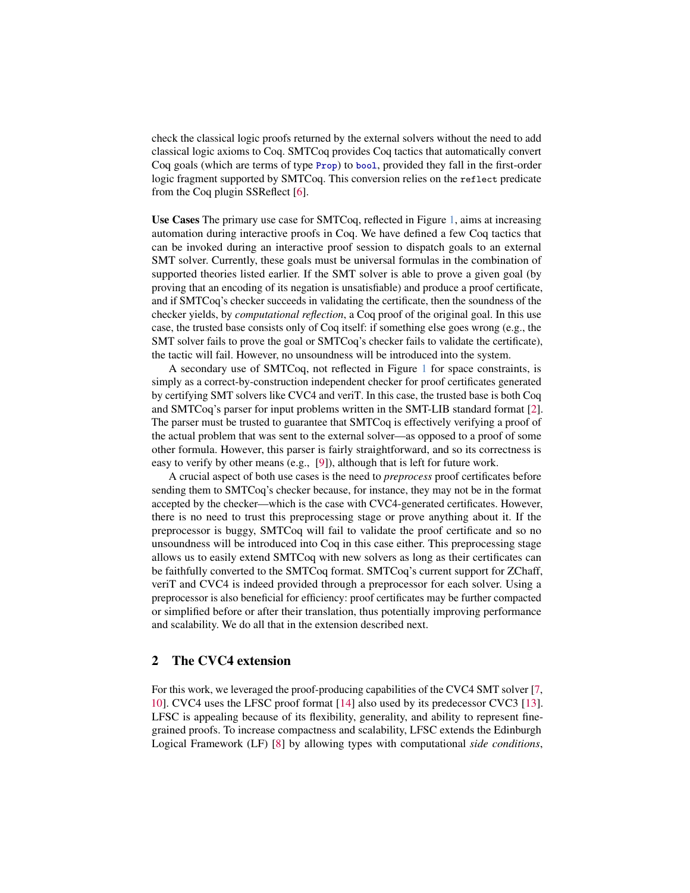check the classical logic proofs returned by the external solvers without the need to add classical logic axioms to Coq. SMTCoq provides Coq tactics that automatically convert Coq goals (which are terms of type **Prop**) to **bool**, provided they fall in the first-order logic fragment supported by SMTCoq. This conversion relies on the reflect predicate from the Coq plugin SSReflect [\[6\]](#page-6-5).

Use Cases The primary use case for SMTCoq, reflected in Figure [1,](#page-1-1) aims at increasing automation during interactive proofs in Coq. We have defined a few Coq tactics that can be invoked during an interactive proof session to dispatch goals to an external SMT solver. Currently, these goals must be universal formulas in the combination of supported theories listed earlier. If the SMT solver is able to prove a given goal (by proving that an encoding of its negation is unsatisfiable) and produce a proof certificate, and if SMTCoq's checker succeeds in validating the certificate, then the soundness of the checker yields, by *computational reflection*, a Coq proof of the original goal. In this use case, the trusted base consists only of Coq itself: if something else goes wrong (e.g., the SMT solver fails to prove the goal or SMTCoq's checker fails to validate the certificate), the tactic will fail. However, no unsoundness will be introduced into the system.

A secondary use of SMTCoq, not reflected in Figure [1](#page-1-1) for space constraints, is simply as a correct-by-construction independent checker for proof certificates generated by certifying SMT solvers like CVC4 and veriT. In this case, the trusted base is both Coq and SMTCoq's parser for input problems written in the SMT-LIB standard format [\[2\]](#page-6-6). The parser must be trusted to guarantee that SMTCoq is effectively verifying a proof of the actual problem that was sent to the external solver—as opposed to a proof of some other formula. However, this parser is fairly straightforward, and so its correctness is easy to verify by other means (e.g., [\[9\]](#page-6-7)), although that is left for future work.

A crucial aspect of both use cases is the need to *preprocess* proof certificates before sending them to SMTCoq's checker because, for instance, they may not be in the format accepted by the checker—which is the case with CVC4-generated certificates. However, there is no need to trust this preprocessing stage or prove anything about it. If the preprocessor is buggy, SMTCoq will fail to validate the proof certificate and so no unsoundness will be introduced into Coq in this case either. This preprocessing stage allows us to easily extend SMTCoq with new solvers as long as their certificates can be faithfully converted to the SMTCoq format. SMTCoq's current support for ZChaff, veriT and CVC4 is indeed provided through a preprocessor for each solver. Using a preprocessor is also beneficial for efficiency: proof certificates may be further compacted or simplified before or after their translation, thus potentially improving performance and scalability. We do all that in the extension described next.

## 2 The CVC4 extension

For this work, we leveraged the proof-producing capabilities of the CVC4 SMT solver [\[7,](#page-6-8) [10\]](#page-6-9). CVC4 uses the LFSC proof format [\[14\]](#page-6-10) also used by its predecessor CVC3 [\[13\]](#page-6-11). LFSC is appealing because of its flexibility, generality, and ability to represent finegrained proofs. To increase compactness and scalability, LFSC extends the Edinburgh Logical Framework (LF) [\[8\]](#page-6-12) by allowing types with computational *side conditions*,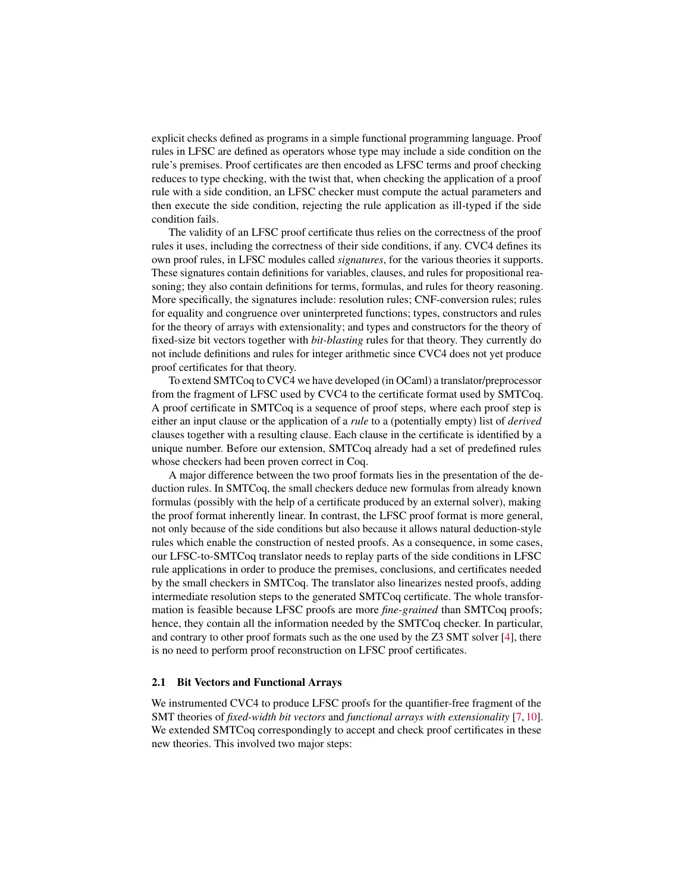explicit checks defined as programs in a simple functional programming language. Proof rules in LFSC are defined as operators whose type may include a side condition on the rule's premises. Proof certificates are then encoded as LFSC terms and proof checking reduces to type checking, with the twist that, when checking the application of a proof rule with a side condition, an LFSC checker must compute the actual parameters and then execute the side condition, rejecting the rule application as ill-typed if the side condition fails.

The validity of an LFSC proof certificate thus relies on the correctness of the proof rules it uses, including the correctness of their side conditions, if any. CVC4 defines its own proof rules, in LFSC modules called *signatures*, for the various theories it supports. These signatures contain definitions for variables, clauses, and rules for propositional reasoning; they also contain definitions for terms, formulas, and rules for theory reasoning. More specifically, the signatures include: resolution rules; CNF-conversion rules; rules for equality and congruence over uninterpreted functions; types, constructors and rules for the theory of arrays with extensionality; and types and constructors for the theory of fixed-size bit vectors together with *bit-blasting* rules for that theory. They currently do not include definitions and rules for integer arithmetic since CVC4 does not yet produce proof certificates for that theory.

To extend SMTCoq to CVC4 we have developed (in OCaml) a translator/preprocessor from the fragment of LFSC used by CVC4 to the certificate format used by SMTCoq. A proof certificate in SMTCoq is a sequence of proof steps, where each proof step is either an input clause or the application of a *rule* to a (potentially empty) list of *derived* clauses together with a resulting clause. Each clause in the certificate is identified by a unique number. Before our extension, SMTCoq already had a set of predefined rules whose checkers had been proven correct in Coq.

A major difference between the two proof formats lies in the presentation of the deduction rules. In SMTCoq, the small checkers deduce new formulas from already known formulas (possibly with the help of a certificate produced by an external solver), making the proof format inherently linear. In contrast, the LFSC proof format is more general, not only because of the side conditions but also because it allows natural deduction-style rules which enable the construction of nested proofs. As a consequence, in some cases, our LFSC-to-SMTCoq translator needs to replay parts of the side conditions in LFSC rule applications in order to produce the premises, conclusions, and certificates needed by the small checkers in SMTCoq. The translator also linearizes nested proofs, adding intermediate resolution steps to the generated SMTCoq certificate. The whole transformation is feasible because LFSC proofs are more *fine-grained* than SMTCoq proofs; hence, they contain all the information needed by the SMTCoq checker. In particular, and contrary to other proof formats such as the one used by the Z3 SMT solver [\[4\]](#page-6-13), there is no need to perform proof reconstruction on LFSC proof certificates.

#### 2.1 Bit Vectors and Functional Arrays

We instrumented CVC4 to produce LFSC proofs for the quantifier-free fragment of the SMT theories of *fixed-width bit vectors* and *functional arrays with extensionality* [\[7,](#page-6-8) [10\]](#page-6-9). We extended SMTCoq correspondingly to accept and check proof certificates in these new theories. This involved two major steps: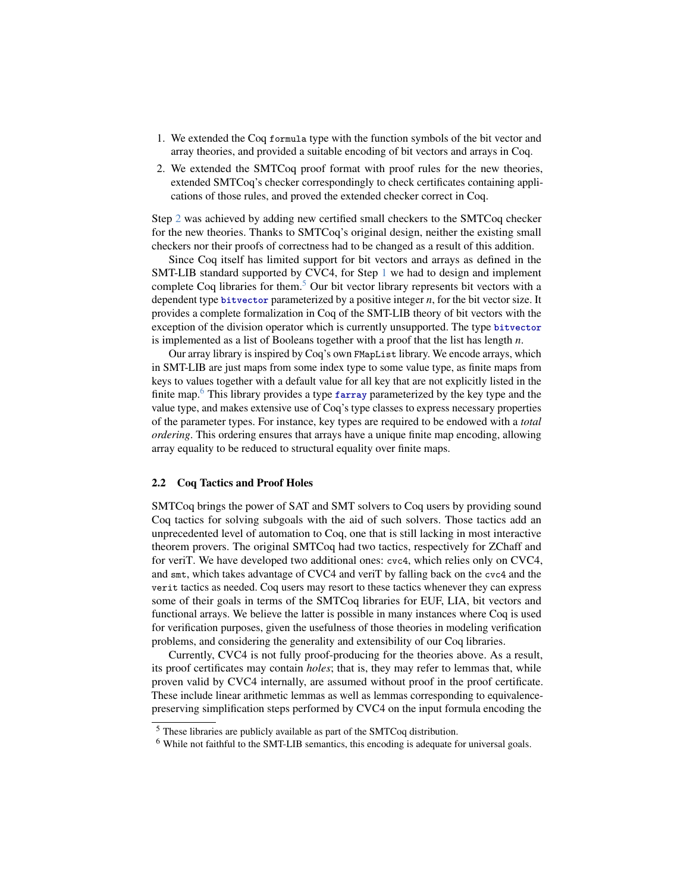- <span id="page-4-1"></span>1. We extended the Coq formula type with the function symbols of the bit vector and array theories, and provided a suitable encoding of bit vectors and arrays in Coq.
- <span id="page-4-0"></span>2. We extended the SMTCoq proof format with proof rules for the new theories, extended SMTCoq's checker correspondingly to check certificates containing applications of those rules, and proved the extended checker correct in Coq.

Step [2](#page-4-0) was achieved by adding new certified small checkers to the SMTCoq checker for the new theories. Thanks to SMTCoq's original design, neither the existing small checkers nor their proofs of correctness had to be changed as a result of this addition.

Since Coq itself has limited support for bit vectors and arrays as defined in the SMT-LIB standard supported by CVC4, for Step [1](#page-4-1) we had to design and implement complete Coq libraries for them.<sup>[5](#page-4-2)</sup> Our bit vector library represents bit vectors with a dependent type **bitvector** parameterized by a positive integer *n*, for the bit vector size. It provides a complete formalization in Coq of the SMT-LIB theory of bit vectors with the exception of the division operator which is currently unsupported. The type **bitvector** is implemented as a list of Booleans together with a proof that the list has length *n*.

Our array library is inspired by Coq's own FMapList library. We encode arrays, which in SMT-LIB are just maps from some index type to some value type, as finite maps from keys to values together with a default value for all key that are not explicitly listed in the finite map.[6](#page-4-3) This library provides a type **farray** parameterized by the key type and the value type, and makes extensive use of Coq's type classes to express necessary properties of the parameter types. For instance, key types are required to be endowed with a *total ordering*. This ordering ensures that arrays have a unique finite map encoding, allowing array equality to be reduced to structural equality over finite maps.

#### 2.2 Coq Tactics and Proof Holes

SMTCoq brings the power of SAT and SMT solvers to Coq users by providing sound Coq tactics for solving subgoals with the aid of such solvers. Those tactics add an unprecedented level of automation to Coq, one that is still lacking in most interactive theorem provers. The original SMTCoq had two tactics, respectively for ZChaff and for veriT. We have developed two additional ones: cvc4, which relies only on CVC4, and smt, which takes advantage of CVC4 and veriT by falling back on the cvc4 and the verit tactics as needed. Coq users may resort to these tactics whenever they can express some of their goals in terms of the SMTCoq libraries for EUF, LIA, bit vectors and functional arrays. We believe the latter is possible in many instances where Coq is used for verification purposes, given the usefulness of those theories in modeling verification problems, and considering the generality and extensibility of our Coq libraries.

Currently, CVC4 is not fully proof-producing for the theories above. As a result, its proof certificates may contain *holes*; that is, they may refer to lemmas that, while proven valid by CVC4 internally, are assumed without proof in the proof certificate. These include linear arithmetic lemmas as well as lemmas corresponding to equivalencepreserving simplification steps performed by CVC4 on the input formula encoding the

<span id="page-4-2"></span><sup>5</sup> These libraries are publicly available as part of the SMTCoq distribution.

<span id="page-4-3"></span><sup>6</sup> While not faithful to the SMT-LIB semantics, this encoding is adequate for universal goals.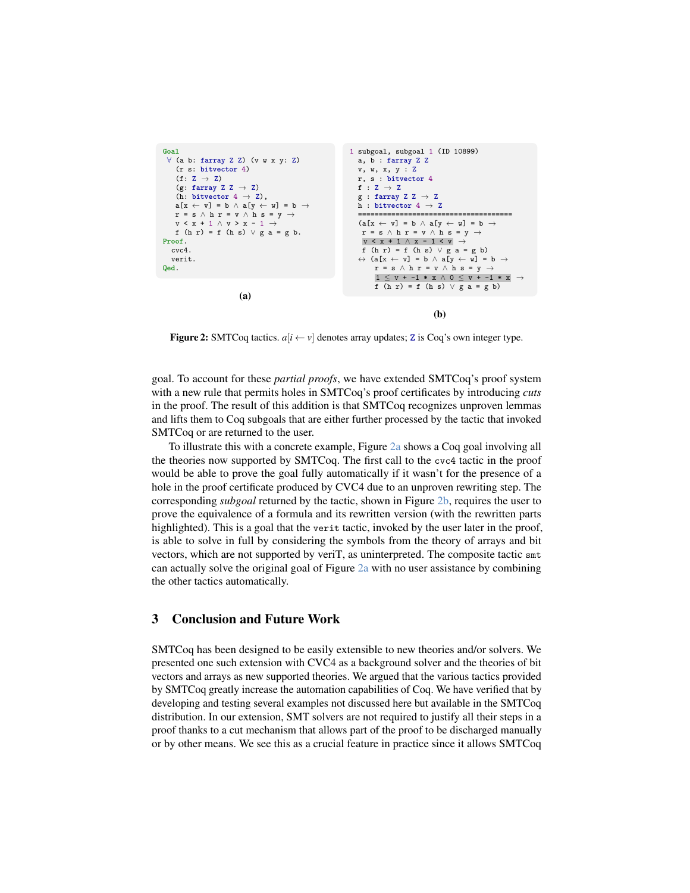<span id="page-5-0"></span>

Figure 2: SMTCoq tactics.  $a[i \leftarrow v]$  denotes array updates; Z is Coq's own integer type.

goal. To account for these *partial proofs*, we have extended SMTCoq's proof system with a new rule that permits holes in SMTCoq's proof certificates by introducing *cuts* in the proof. The result of this addition is that SMTCoq recognizes unproven lemmas and lifts them to Coq subgoals that are either further processed by the tactic that invoked SMTCoq or are returned to the user.

To illustrate this with a concrete example, Figure [2a](#page-5-0) shows a Coq goal involving all the theories now supported by SMTCoq. The first call to the cvc4 tactic in the proof would be able to prove the goal fully automatically if it wasn't for the presence of a hole in the proof certificate produced by CVC4 due to an unproven rewriting step. The corresponding *subgoal* returned by the tactic, shown in Figure [2b,](#page-5-0) requires the user to prove the equivalence of a formula and its rewritten version (with the rewritten parts highlighted). This is a goal that the verit tactic, invoked by the user later in the proof, is able to solve in full by considering the symbols from the theory of arrays and bit vectors, which are not supported by veriT, as uninterpreted. The composite tactic smt can actually solve the original goal of Figure [2a](#page-5-0) with no user assistance by combining the other tactics automatically.

# 3 Conclusion and Future Work

SMTCoq has been designed to be easily extensible to new theories and/or solvers. We presented one such extension with CVC4 as a background solver and the theories of bit vectors and arrays as new supported theories. We argued that the various tactics provided by SMTCoq greatly increase the automation capabilities of Coq. We have verified that by developing and testing several examples not discussed here but available in the SMTCoq distribution. In our extension, SMT solvers are not required to justify all their steps in a proof thanks to a cut mechanism that allows part of the proof to be discharged manually or by other means. We see this as a crucial feature in practice since it allows SMTCoq